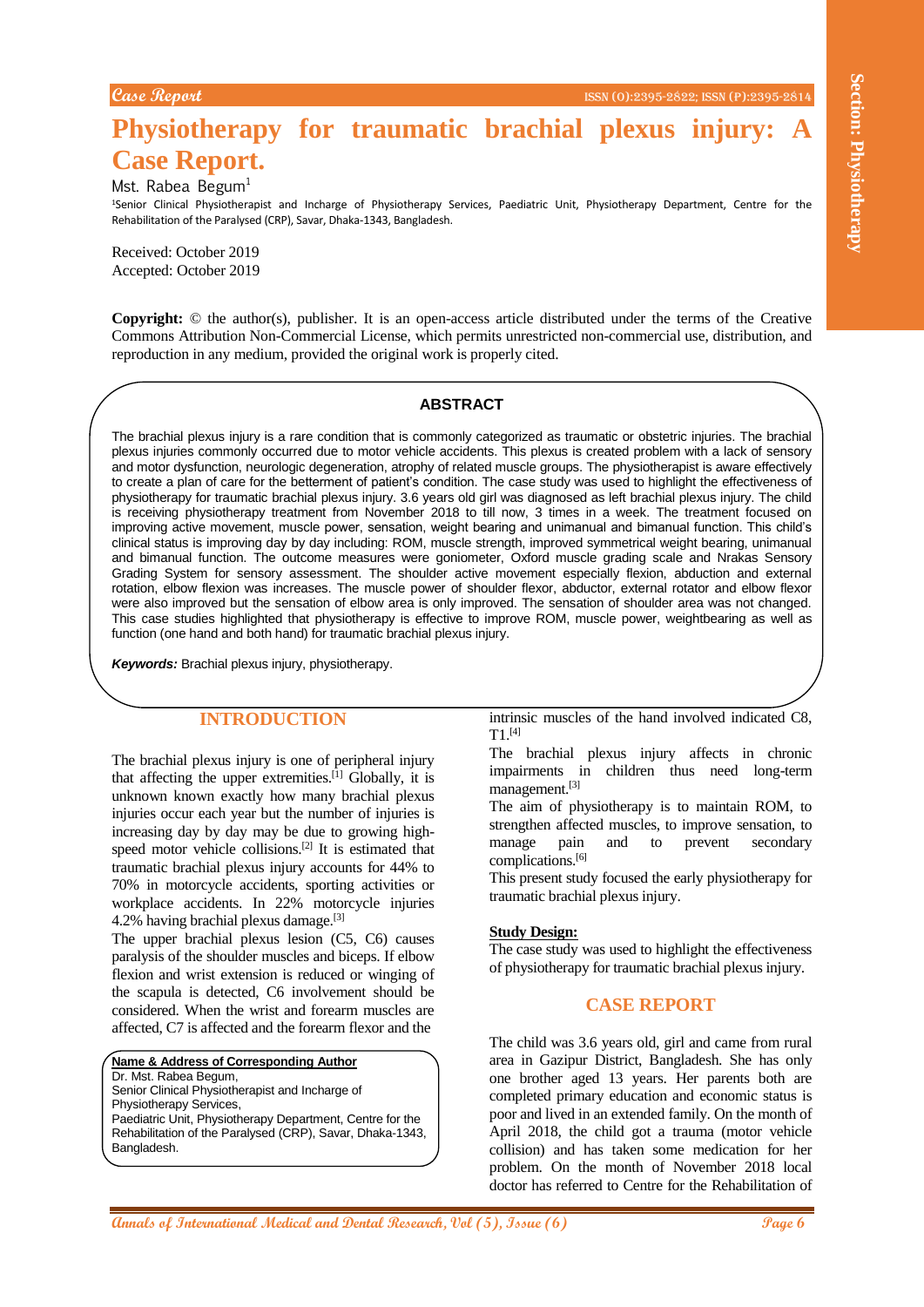# **Physiotherapy for traumatic brachial plexus injury: Case Report.**

Mst. Rabea Begum $1$ 

<sup>1</sup>Senior Clinical Physiotherapist and Incharge of Physiotherapy Services, Paediatric Unit, Physiotherapy Department, Centre for the Rehabilitation of the Paralysed (CRP), Savar, Dhaka-1343, Bangladesh.

Received: October 2019 Accepted: October 2019

**Copyright:** © the author(s), publisher. It is an open-access article distributed under the terms of the Creative Commons Attribution Non-Commercial License, which permits unrestricted non-commercial use, distribution, and reproduction in any medium, provided the original work is properly cited.

### **ABSTRACT**

**EXALURE CONSULTER CONSULTER CONSULTER CONSULTER CONSULTER CONSULTER CONSULTER CONSULTER CONSULTER CONSULTER CONSULTER CONSULTER CONSULTER CONSULTER CONSULTER CONSULTER CONSULTER CONSULTER CONSULTER CONSULTER CONSULTER CON** The brachial plexus injury is a rare condition that is commonly categorized as traumatic or obstetric injuries. The brachial plexus injuries commonly occurred due to motor vehicle accidents. This plexus is created problem with a lack of sensory and motor dysfunction, neurologic degeneration, atrophy of related muscle groups. The physiotherapist is aware effectively to create a plan of care for the betterment of patient's condition. The case study was used to highlight the effectiveness of physiotherapy for traumatic brachial plexus injury. 3.6 years old girl was diagnosed as left brachial plexus injury. The child is receiving physiotherapy treatment from November 2018 to till now, 3 times in a week. The treatment focused on improving active movement, muscle power, sensation, weight bearing and unimanual and bimanual function. This child's clinical status is improving day by day including: ROM, muscle strength, improved symmetrical weight bearing, unimanual and bimanual function. The outcome measures were goniometer, Oxford muscle grading scale and Nrakas Sensory Grading System for sensory assessment. The shoulder active movement especially flexion, abduction and external rotation, elbow flexion was increases. The muscle power of shoulder flexor, abductor, external rotator and elbow flexor were also improved but the sensation of elbow area is only improved. The sensation of shoulder area was not changed. This case studies highlighted that physiotherapy is effective to improve ROM, muscle power, weightbearing as well as function (one hand and both hand) for traumatic brachial plexus injury.

*Keywords:* Brachial plexus injury, physiotherapy.

# **INTRODUCTION**

The brachial plexus injury is one of peripheral injury that affecting the upper extremities.<sup>[1]</sup> Globally, it is unknown known exactly how many brachial plexus injuries occur each year but the number of injuries is increasing day by day may be due to growing highspeed motor vehicle collisions.<sup>[2]</sup> It is estimated that traumatic brachial plexus injury accounts for 44% to 70% in motorcycle accidents, sporting activities or workplace accidents. In 22% motorcycle injuries 4.2% having brachial plexus damage.[3]

The upper brachial plexus lesion (C5, C6) causes paralysis of the shoulder muscles and biceps. If elbow flexion and wrist extension is reduced or winging of the scapula is detected, C6 involvement should be considered. When the wrist and forearm muscles are affected, C7 is affected and the forearm flexor and the

**Name & Address of Corresponding Author** Dr. Mst. Rabea Begum,

Senior Clinical Physiotherapist and Incharge of

Physiotherapy Services,

Bangladesh.

Paediatric Unit, Physiotherapy Department, Centre for the Rehabilitation of the Paralysed (CRP), Savar, Dhaka-1343,

intrinsic muscles of the hand involved indicated C8,  $T1$ <sup>[4]</sup>

The brachial plexus injury affects in chronic impairments in children thus need long-term management.[3]

The aim of physiotherapy is to maintain ROM, to strengthen affected muscles, to improve sensation, to manage pain and to prevent secondary complications.[6]

This present study focused the early physiotherapy for traumatic brachial plexus injury.

#### **Study Design:**

The case study was used to highlight the effectiveness of physiotherapy for traumatic brachial plexus injury.

### **CASE REPORT**

The child was 3.6 years old, girl and came from rural area in Gazipur District, Bangladesh. She has only one brother aged 13 years. Her parents both are completed primary education and economic status is poor and lived in an extended family. On the month of April 2018, the child got a trauma (motor vehicle collision) and has taken some medication for her problem. On the month of November 2018 local doctor has referred to Centre for the Rehabilitation of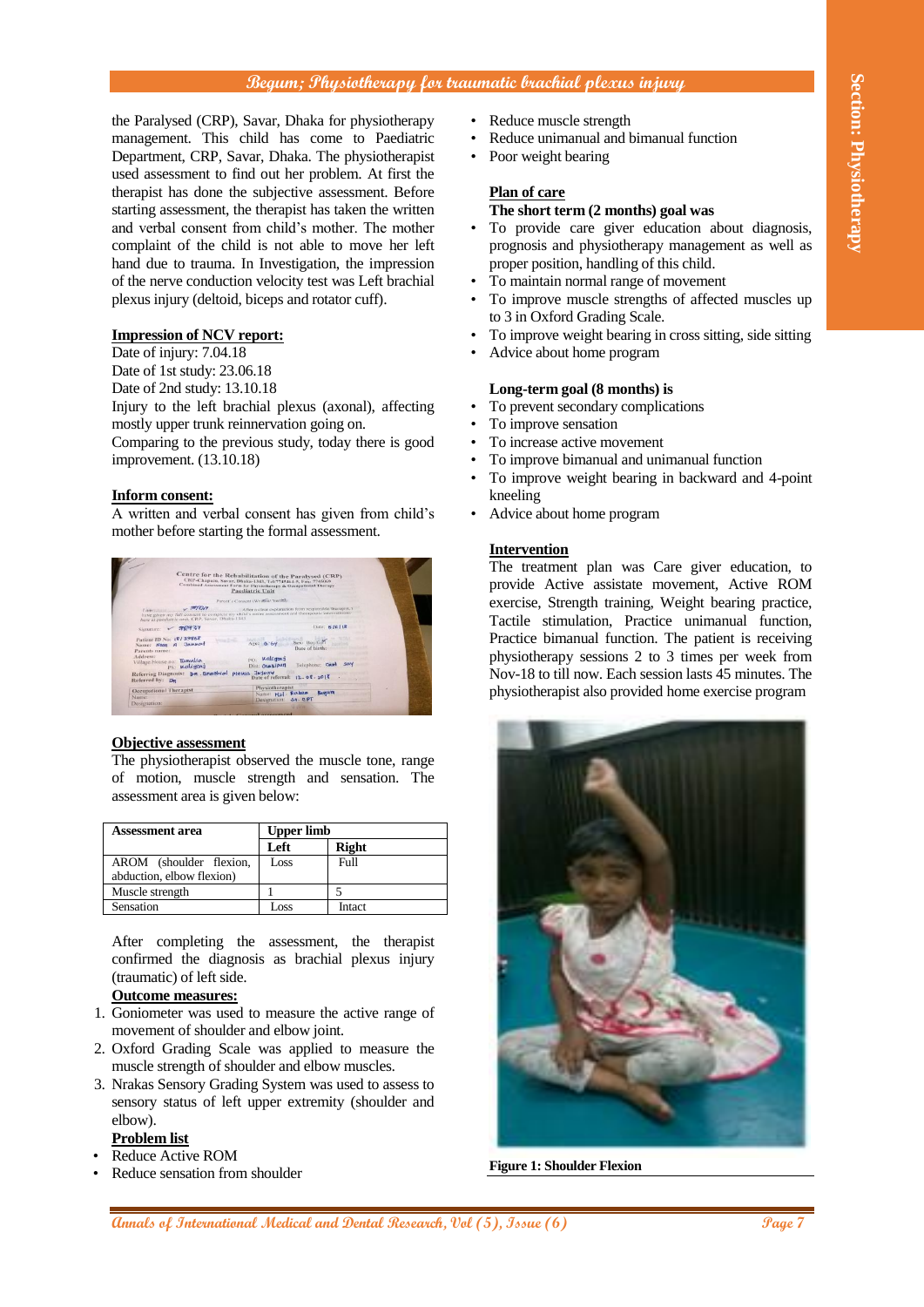# **Begum; Physiotherapy for traumatic brachial plexus injury**

the Paralysed (CRP), Savar, Dhaka for physiotherapy management. This child has come to Paediatric Department, CRP, Savar, Dhaka. The physiotherapist used assessment to find out her problem. At first the therapist has done the subjective assessment. Before starting assessment, the therapist has taken the written and verbal consent from child's mother. The mother complaint of the child is not able to move her left hand due to trauma. In Investigation, the impression of the nerve conduction velocity test was Left brachial plexus injury (deltoid, biceps and rotator cuff).

# **Impression of NCV report:**

Date of injury: 7.04.18 Date of 1st study: 23.06.18 Date of 2nd study: 13.10.18 Injury to the left brachial plexus (axonal), affecting mostly upper trunk reinnervation going on. Comparing to the previous study, today there is good improvement. (13.10.18)

### **Inform consent:**

A written and verbal consent has given from child's mother before starting the formal assessment.



### **Objective assessment**

The physiotherapist observed the muscle tone, range of motion, muscle strength and sensation. The assessment area is given below:

| <b>Assessment area</b>                               | <b>Upper limb</b> |              |
|------------------------------------------------------|-------------------|--------------|
|                                                      | Left              | <b>Right</b> |
| AROM (shoulder flexion,<br>abduction, elbow flexion) | Loss              | Full         |
| Muscle strength                                      |                   |              |
| Sensation                                            | Loss              | Intact       |

After completing the assessment, the therapist confirmed the diagnosis as brachial plexus injury (traumatic) of left side.

# **Outcome measures:**

- 1. Goniometer was used to measure the active range of movement of shoulder and elbow joint.
- 2. Oxford Grading Scale was applied to measure the muscle strength of shoulder and elbow muscles.
- 3. Nrakas Sensory Grading System was used to assess to sensory status of left upper extremity (shoulder and elbow).

# **Problem list**

- Reduce Active ROM
- Reduce sensation from shoulder
- Reduce muscle strength
- Reduce unimanual and bimanual function
- Poor weight bearing

# **Plan of care**

### **The short term (2 months) goal was**

- To provide care giver education about diagnosis, prognosis and physiotherapy management as well as proper position, handling of this child.
- To maintain normal range of movement
- To improve muscle strengths of affected muscles up to 3 in Oxford Grading Scale.
- To improve weight bearing in cross sitting, side sitting
- Advice about home program

### **Long-term goal (8 months) is**

- To prevent secondary complications
- To improve sensation
- To increase active movement
- To improve bimanual and unimanual function
- To improve weight bearing in backward and 4-point kneeling
- Advice about home program

### **Intervention**

The treatment plan was Care giver education, to provide Active assistate movement, Active ROM exercise, Strength training, Weight bearing practice, Tactile stimulation, Practice unimanual function, Practice bimanual function. The patient is receiving physiotherapy sessions 2 to 3 times per week from Nov-18 to till now. Each session lasts 45 minutes. The physiotherapist also provided home exercise program



**Figure 1: Shoulder Flexion**